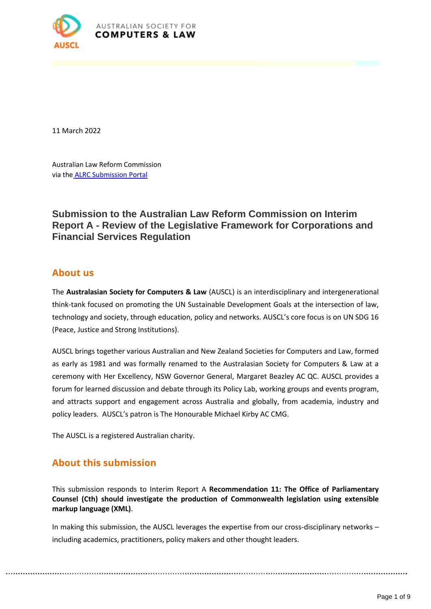

11 March 2022

Australian Law Reform Commission via the ALRC Submission Portal

**Submission to the Australian Law Reform Commission on Interim Report A - Review of the Legislative Framework for Corporations and Financial Services Regulation**

## **About us**

The **Australasian Society for Computers & Law** (AUSCL) is an interdisciplinary and intergenerational think-tank focused on promoting the UN Sustainable Development Goals at the intersection of law, technology and society, through education, policy and networks. AUSCL's core focus is on UN SDG 16 (Peace, Justice and Strong Institutions).

AUSCL brings together various Australian and New Zealand Societies for Computers and Law, formed as early as 1981 and was formally renamed to the Australasian Society for Computers & Law at a ceremony with Her Excellency, NSW Governor General, Margaret Beazley AC QC. AUSCL provides a forum for learned discussion and debate through its Policy Lab, working groups and events program, and attracts support and engagement across Australia and globally, from academia, industry and policy leaders. AUSCL's patron is The Honourable Michael Kirby AC CMG.

The AUSCL is a registered Australian charity.

# **About this submission**

This submission responds to Interim Report A **Recommendation 11: The Office of Parliamentary Counsel (Cth) should investigate the production of Commonwealth legislation using extensible markup language (XML)**.

In making this submission, the AUSCL leverages the expertise from our cross-disciplinary networks – including academics, practitioners, policy makers and other thought leaders.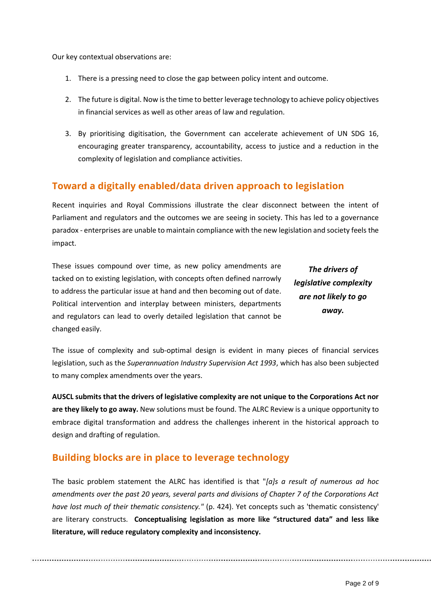Our key contextual observations are:

- 1. There is a pressing need to close the gap between policy intent and outcome.
- 2. The future is digital. Now is the time to better leverage technology to achieve policy objectives in financial services as well as other areas of law and regulation.
- 3. By prioritising digitisation, the Government can accelerate achievement of UN SDG 16, encouraging greater transparency, accountability, access to justice and a reduction in the complexity of legislation and compliance activities.

## **Toward a digitally enabled/data driven approach to legislation**

Recent inquiries and Royal Commissions illustrate the clear disconnect between the intent of Parliament and regulators and the outcomes we are seeing in society. This has led to a governance paradox - enterprises are unable to maintain compliance with the new legislation and society feels the impact.

These issues compound over time, as new policy amendments are tacked on to existing legislation, with concepts often defined narrowly to address the particular issue at hand and then becoming out of date. Political intervention and interplay between ministers, departments and regulators can lead to overly detailed legislation that cannot be changed easily.

*The drivers of legislative complexity are not likely to go away.*

The issue of complexity and sub-optimal design is evident in many pieces of financial services legislation, such as the *Superannuation Industry Supervision Act 1993*, which has also been subjected to many complex amendments over the years.

**AUSCL submits that the drivers of legislative complexity are not unique to the Corporations Act nor are they likely to go away.** New solutions must be found. The ALRC Review is a unique opportunity to embrace digital transformation and address the challenges inherent in the historical approach to design and drafting of regulation.

## **Building blocks are in place to leverage technology**

The basic problem statement the ALRC has identified is that "*[a]s a result of numerous ad hoc amendments over the past 20 years, several parts and divisions of Chapter 7 of the Corporations Act have lost much of their thematic consistency."* (p. 424). Yet concepts such as 'thematic consistency' are literary constructs. **Conceptualising legislation as more like "structured data" and less like literature, will reduce regulatory complexity and inconsistency.**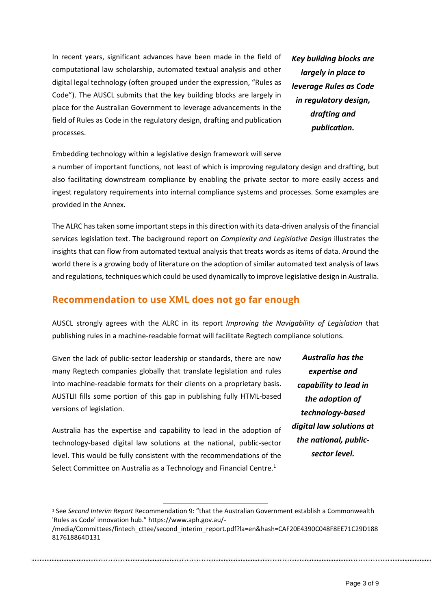In recent years, significant advances have been made in the field of computational law scholarship, automated textual analysis and other digital legal technology (often grouped under the expression, "Rules as Code"). The AUSCL submits that the key building blocks are largely in place for the Australian Government to leverage advancements in the field of Rules as Code in the regulatory design, drafting and publication processes.

*Key building blocks are largely in place to leverage Rules as Code in regulatory design, drafting and publication.*

Embedding technology within a legislative design framework will serve

a number of important functions, not least of which is improving regulatory design and drafting, but also facilitating downstream compliance by enabling the private sector to more easily access and ingest regulatory requirements into internal compliance systems and processes. Some examples are provided in the Annex.

The ALRC has taken some important steps in this direction with its data-driven analysis of the financial services legislation text. The background report on *Complexity and Legislative Design* illustrates the insights that can flow from automated textual analysis that treats words as items of data. Around the world there is a growing body of literature on the adoption of similar automated text analysis of laws and regulations, techniques which could be used dynamically to improve legislative design in Australia.

### **Recommendation to use XML does not go far enough**

AUSCL strongly agrees with the ALRC in its report *Improving the Navigability of Legislation* that publishing rules in a machine-readable format will facilitate Regtech compliance solutions.

Given the lack of public-sector leadership or standards, there are now many Regtech companies globally that translate legislation and rules into machine-readable formats for their clients on a proprietary basis. AUSTLII fills some portion of this gap in publishing fully HTML-based versions of legislation.

Australia has the expertise and capability to lead in the adoption of technology-based digital law solutions at the national, public-sector level. This would be fully consistent with the recommendations of the Select Committee on Australia as a Technology and Financial Centre.<sup>1</sup>

*Australia has the expertise and capability to lead in the adoption of technology-based digital law solutions at the national, publicsector level.*

<sup>1</sup> See *Second Interim Report* Recommendation 9: "that the Australian Government establish a Commonwealth 'Rules as Code' innovation hub." https://www.aph.gov.au/- /media/Committees/fintech\_cttee/second\_interim\_report.pdf?la=en&hash=CAF20E4390C048F8EE71C29D188 817618864D131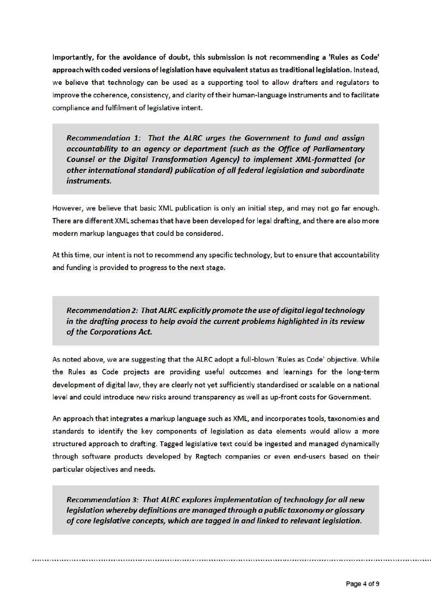Importantly, for the avoidance of doubt, this submission is not recommending a 'Rules as Code' approach with coded versions of legislation have equivalent status as traditional legislation. Instead, we believe that technology can be used as a supporting tool to allow drafters and regulators to improve the coherence, consistency, and clarity of their human-language instruments and to facilitate compliance and fulfilment of legislative intent.

Recommendation 1: That the ALRC urges the Government to fund and assign accountability to an agency or department (such as the Office of Parliamentary Counsel or the Digital Transformation Agency) to implement XML-formatted (or other international standard) publication of all federal legislation and subordinate instruments.

However, we believe that basic XML publication is only an initial step, and may not go far enough. There are different XML schemas that have been developed for legal drafting, and there are also more modern markup languages that could be considered.

At this time, our intent is not to recommend any specific technology, but to ensure that accountability and funding is provided to progress to the next stage.

Recommendation 2: That ALRC explicitly promote the use of digital legal technology in the drafting process to help avoid the current problems highlighted in its review of the Corporations Act.

As noted above, we are suggesting that the ALRC adopt a full-blown 'Rules as Code' objective. While the Rules as Code projects are providing useful outcomes and learnings for the long-term development of digital law, they are clearly not yet sufficiently standardised or scalable on a national level and could introduce new risks around transparency as well as up-front costs for Government.

An approach that integrates a markup language such as XML, and incorporates tools, taxonomies and standards to identify the key components of legislation as data elements would allow a more structured approach to drafting. Tagged legislative text could be ingested and managed dynamically through software products developed by Regtech companies or even end-users based on their particular objectives and needs.

Recommendation 3: That ALRC explores implementation of technology for all new legislation whereby definitions are managed through a public taxonomy or glossary of core legislative concepts, which are tagged in and linked to relevant legislation.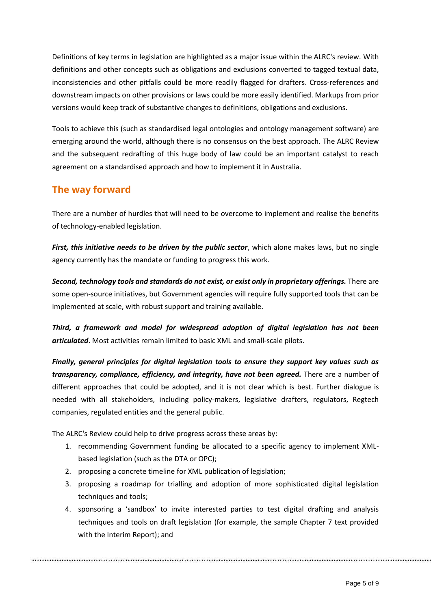Definitions of key terms in legislation are highlighted as a major issue within the ALRC's review. With definitions and other concepts such as obligations and exclusions converted to tagged textual data, inconsistencies and other pitfalls could be more readily flagged for drafters. Cross-references and downstream impacts on other provisions or laws could be more easily identified. Markups from prior versions would keep track of substantive changes to definitions, obligations and exclusions.

Tools to achieve this (such as standardised legal ontologies and ontology management software) are emerging around the world, although there is no consensus on the best approach. The ALRC Review and the subsequent redrafting of this huge body of law could be an important catalyst to reach agreement on a standardised approach and how to implement it in Australia.

# **The way forward**

There are a number of hurdles that will need to be overcome to implement and realise the benefits of technology-enabled legislation.

*First, this initiative needs to be driven by the public sector*, which alone makes laws, but no single agency currently has the mandate or funding to progress this work.

*Second, technology tools and standards do not exist, or exist only in proprietary offerings.* There are some open-source initiatives, but Government agencies will require fully supported tools that can be implemented at scale, with robust support and training available.

*Third, a framework and model for widespread adoption of digital legislation has not been articulated*. Most activities remain limited to basic XML and small-scale pilots.

*Finally, general principles for digital legislation tools to ensure they support key values such as transparency, compliance, efficiency, and integrity, have not been agreed.* There are a number of different approaches that could be adopted, and it is not clear which is best. Further dialogue is needed with all stakeholders, including policy-makers, legislative drafters, regulators, Regtech companies, regulated entities and the general public.

The ALRC's Review could help to drive progress across these areas by:

- 1. recommending Government funding be allocated to a specific agency to implement XMLbased legislation (such as the DTA or OPC);
- 2. proposing a concrete timeline for XML publication of legislation;
- 3. proposing a roadmap for trialling and adoption of more sophisticated digital legislation techniques and tools;
- 4. sponsoring a 'sandbox' to invite interested parties to test digital drafting and analysis techniques and tools on draft legislation (for example, the sample Chapter 7 text provided with the Interim Report); and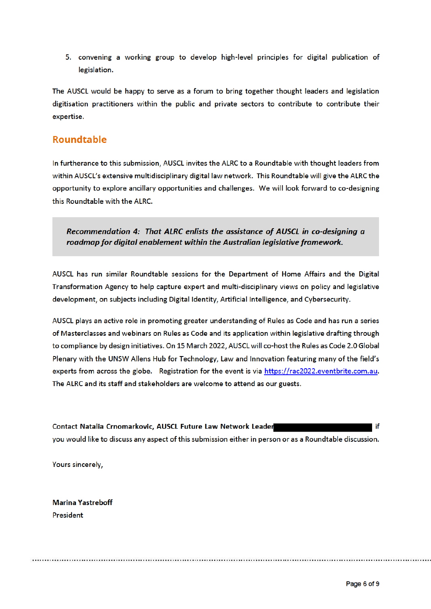5. convening a working group to develop high-level principles for digital publication of legislation.

The AUSCL would be happy to serve as a forum to bring together thought leaders and legislation digitisation practitioners within the public and private sectors to contribute to contribute their expertise.

## **Roundtable**

In furtherance to this submission, AUSCL invites the ALRC to a Roundtable with thought leaders from within AUSCL's extensive multidisciplinary digital law network. This Roundtable will give the ALRC the opportunity to explore ancillary opportunities and challenges. We will look forward to co-designing this Roundtable with the ALRC.

Recommendation 4: That ALRC enlists the assistance of AUSCL in co-desianing a roadmap for digital enablement within the Australian legislative framework.

AUSCL has run similar Roundtable sessions for the Department of Home Affairs and the Digital Transformation Agency to help capture expert and multi-disciplinary views on policy and legislative development, on subjects including Digital Identity, Artificial Intelligence, and Cybersecurity.

AUSCL plays an active role in promoting greater understanding of Rules as Code and has run a series of Masterclasses and webinars on Rules as Code and its application within legislative drafting through to compliance by design initiatives. On 15 March 2022, AUSCL will co-host the Rules as Code 2.0 Global Plenary with the UNSW Allens Hub for Technology, Law and Innovation featuring many of the field's experts from across the globe. Registration for the event is via https://rac2022.eventbrite.com.au. The ALRC and its staff and stakeholders are welcome to attend as our guests.

Contact Natalia Crnomarkovic, AUSCL Future Law Network Leader ïf you would like to discuss any aspect of this submission either in person or as a Roundtable discussion.

Yours sincerely.

**Marina Yastreboff President**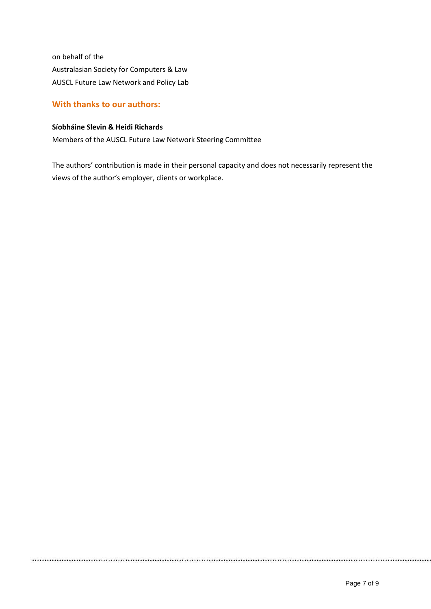on behalf of the Australasian Society for Computers & Law AUSCL Future Law Network and Policy Lab

### **With thanks to our authors:**

#### **Síobháine Slevin & Heidi Richards**

Members of the AUSCL Future Law Network Steering Committee

The authors' contribution is made in their personal capacity and does not necessarily represent the views of the author's employer, clients or workplace.

....................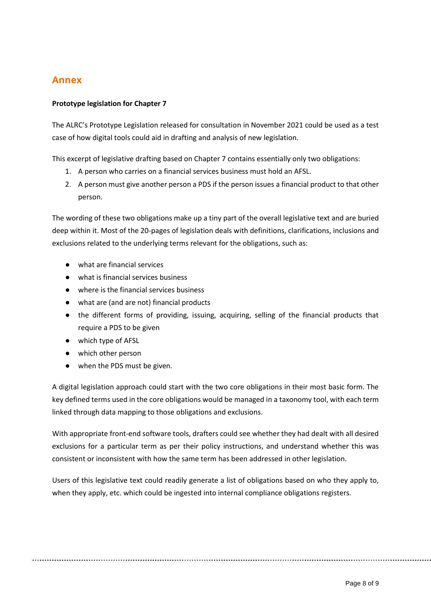## **Annex**

### **Prototype legislation for Chapter 7**

The ALRC's Prototype Legislation released for consultation in November 2021 could be used as a test case of how digital tools could aid in drafting and analysis of new legislation.

This excerpt of legislative drafting based on Chapter 7 contains essentially only two obligations:

- 1. A person who carries on a financial services business must hold an AFSL.
- 2. A person must give another person a PDS if the person issues a financial product to that other person.

The wording of these two obligations make up a tiny part of the overall legislative text and are buried deep within it. Most of the 20-pages of legislation deals with definitions, clarifications, inclusions and exclusions related to the underlying terms relevant for the obligations, such as:

- what are financial services
- what is financial services business
- where is the financial services business
- what are (and are not) financial products
- the different forms of providing, issuing, acquiring, selling of the financial products that require a PDS to be given
- which type of AFSL
- which other person
- when the PDS must be given.

A digital legislation approach could start with the two core obligations in their most basic form. The key defined terms used in the core obligations would be managed in a taxonomy tool, with each term linked through data mapping to those obligations and exclusions.

With appropriate front-end software tools, drafters could see whether they had dealt with all desired exclusions for a particular term as per their policy instructions, and understand whether this was consistent or inconsistent with how the same term has been addressed in other legislation.

Users of this legislative text could readily generate a list of obligations based on who they apply to, when they apply, etc. which could be ingested into internal compliance obligations registers.